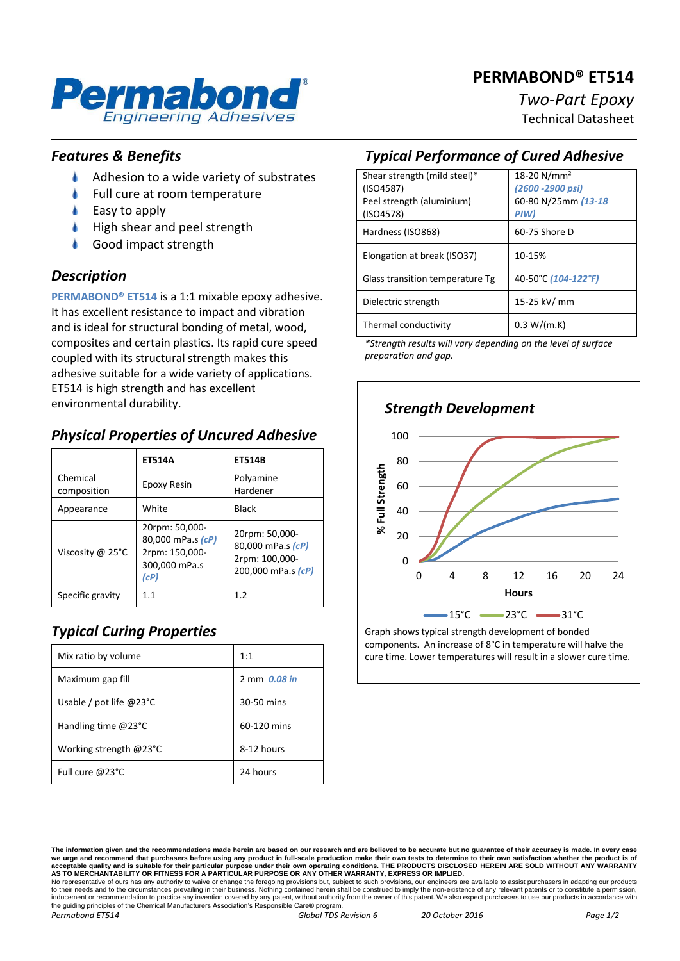# **PERMABOND® ET514**



# *Two-Part Epoxy*

Technical Datasheet

## *Features & Benefits*

- ۸ Adhesion to a wide variety of substrates
- Full cure at room temperature
- Easy to apply
- High shear and peel strength
- Good impact strength

### *Description*

**PERMABOND® ET514** is a 1:1 mixable epoxy adhesive. It has excellent resistance to impact and vibration and is ideal for structural bonding of metal, wood, composites and certain plastics. Its rapid cure speed coupled with its structural strength makes this adhesive suitable for a wide variety of applications. ET514 is high strength and has excellent environmental durability.

# *Physical Properties of Uncured Adhesive*

|                         | <b>ET514A</b>                                                                  | <b>ET514B</b>                                                               |
|-------------------------|--------------------------------------------------------------------------------|-----------------------------------------------------------------------------|
| Chemical<br>composition | <b>Epoxy Resin</b>                                                             | Polyamine<br>Hardener                                                       |
| Appearance              | White                                                                          | Black                                                                       |
| Viscosity @ 25°C        | 20rpm: 50,000-<br>80,000 mPa.s (cP)<br>2rpm: 150,000-<br>300,000 mPa.s<br>(cP) | 20rpm: 50,000-<br>80,000 mPa.s (cP)<br>2rpm: 100,000-<br>200,000 mPa.s (cP) |
| Specific gravity        | 11                                                                             | 1.2                                                                         |

# *Typical Curing Properties*

| Mix ratio by volume              | 1:1          |
|----------------------------------|--------------|
| Maximum gap fill                 | 2 mm 0.08 in |
| Usable / pot life $@23^{\circ}C$ | 30-50 mins   |
| Handling time $@23°C$            | 60-120 mins  |
| Working strength @23°C           | 8-12 hours   |
| Full cure @23°C                  | 24 hours     |

# *Typical Performance of Cured Adhesive*

| Shear strength (mild steel)*    | 18-20 N/mm <sup>2</sup> |
|---------------------------------|-------------------------|
| (ISO4587)                       | (2600 - 2900 psi)       |
| Peel strength (aluminium)       | 60-80 N/25mm (13-18     |
| (ISO4578)                       | PIW)                    |
| Hardness (ISO868)               | 60-75 Shore D           |
|                                 |                         |
| Elongation at break (ISO37)     | 10-15%                  |
|                                 |                         |
| Glass transition temperature Tg | 40-50°C (104-122°F)     |
| Dielectric strength             | 15-25 kV/ mm            |
|                                 |                         |
| Thermal conductivity            | 0.3 W/(m.K)             |
|                                 |                         |

*\*Strength results will vary depending on the level of surface preparation and gap.*



Graph shows typical strength development of bonded components. An increase of 8°C in temperature will halve the cure time. Lower temperatures will result in a slower cure time.

to their needs and to the circumstances prevailing in their business. Nothing contained herein shall be construed to imply the non-existence of any relevant patents or to constitute a permission inducement or recommendation to practice any invention covered by any patent, without authority from the owner of this patent. We also expect purchasers to use our products in accordance with the guiding principles of the Chemical Manufacturers Association's Responsible Care® program.

**The information given and the recommendations made herein are based on our research and are believed to be accurate but no guarantee of their accuracy is made. In every case**  we urge and recommend that purchasers before using any product in full-scale production make their own tests to determine to their own satisfaction whether the product is of<br>acceptable quality and is suitable for their par